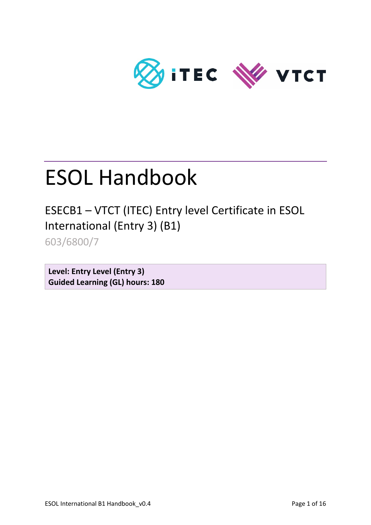

# ESOL Handbook

ESECB1 – VTCT (ITEC) Entry level Certificate in ESOL International (Entry 3) (B1)

603/6800/7

**Level: Entry Level (Entry 3) Guided Learning (GL) hours: 180**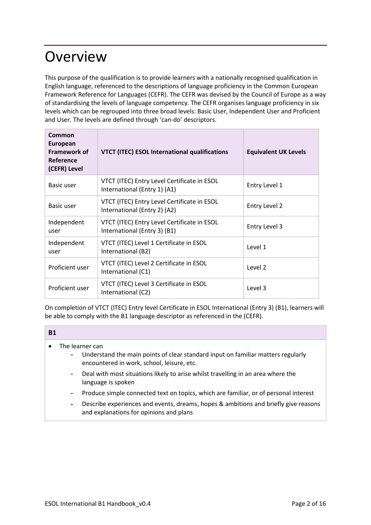### **Overview**

This purpose of the qualification is to provide learners with a nationally recognised qualification in English language, referenced to the descriptions of language proficiency in the Common European Framework Reference for Languages (CEFR). The CEFR was devised by the Council of Europe as a way of standardising the levels of language competency. The CEFR organises language proficiency in six levels which can be regrouped into three broad levels: Basic User, Independent User and Proficient and User. The levels are defined through 'can-do' descriptors.

| Common<br><b>European</b><br>Framework of<br><b>Reference</b><br>(CEFR) Level | <b>VTCT (ITEC) ESOL International qualifications</b>                        | <b>Equivalent UK Levels</b> |
|-------------------------------------------------------------------------------|-----------------------------------------------------------------------------|-----------------------------|
| Basic user                                                                    | VTCT (ITEC) Entry Level Certificate in ESOL<br>International (Entry 1) (A1) | Entry Level 1               |
| Basic user                                                                    | VTCT (ITEC) Entry Level Certificate in ESOL<br>International (Entry 2) (A2) | Entry Level 2               |
| Independent<br>user                                                           | VTCT (ITEC) Entry Level Certificate in ESOL<br>International (Entry 3) (B1) | Entry Level 3               |
| Independent<br>user                                                           | VTCT (ITEC) Level 1 Certificate in ESOL<br>International (B2)               | Level 1                     |
| Proficient user                                                               | VTCT (ITEC) Level 2 Certificate in ESOL<br>International (C1)               | Level 2                     |
| Proficient user                                                               | VTCT (ITEC) Level 3 Certificate in ESOL<br>International (C2)               | Level 3                     |

On completion of VTCT (ITEC) Entry level Certificate in ESOL International (Entry 3) (B1), learners will be able to comply with the B1 language descriptor as referenced in the (CEFR).

### **B1**

- The learner can
	- Understand the main points of clear standard input on familiar matters regularly encountered in work, school, leisure, etc.
	- Deal with most situations likely to arise whilst travelling in an area where the language is spoken
	- Produce simple connected text on topics, which are familiar, or of personal interest
	- Describe experiences and events, dreams, hopes & ambitions and briefly give reasons and explanations for opinions and plans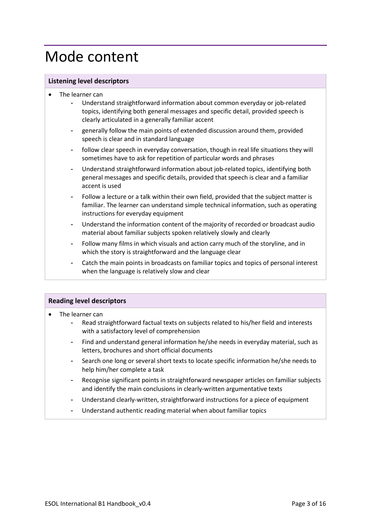### Mode content

### **Listening level descriptors**

- The learner can
	- Understand straightforward information about common everyday or job-related topics, identifying both general messages and specific detail, provided speech is clearly articulated in a generally familiar accent
	- generally follow the main points of extended discussion around them, provided speech is clear and in standard language
	- follow clear speech in everyday conversation, though in real life situations they will sometimes have to ask for repetition of particular words and phrases
	- Understand straightforward information about job-related topics, identifying both general messages and specific details, provided that speech is clear and a familiar accent is used
	- Follow a lecture or a talk within their own field, provided that the subject matter is familiar. The learner can understand simple technical information, such as operating instructions for everyday equipment
	- Understand the information content of the majority of recorded or broadcast audio material about familiar subjects spoken relatively slowly and clearly
	- Follow many films in which visuals and action carry much of the storyline, and in which the story is straightforward and the language clear
	- Catch the main points in broadcasts on familiar topics and topics of personal interest when the language is relatively slow and clear

### **Reading level descriptors**

- The learner can
	- Read straightforward factual texts on subjects related to his/her field and interests with a satisfactory level of comprehension
	- Find and understand general information he/she needs in everyday material, such as letters, brochures and short official documents
	- Search one long or several short texts to locate specific information he/she needs to help him/her complete a task
	- Recognise significant points in straightforward newspaper articles on familiar subjects and identify the main conclusions in clearly-written argumentative texts
	- Understand clearly-written, straightforward instructions for a piece of equipment
	- Understand authentic reading material when about familiar topics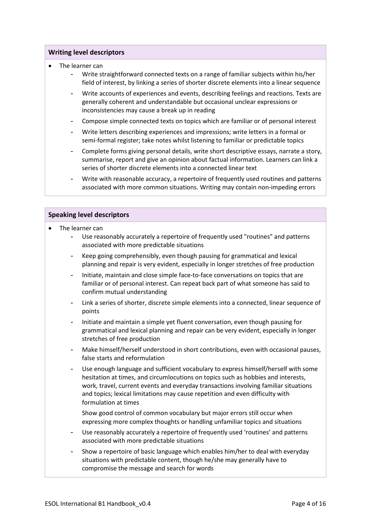#### **Writing level descriptors**

- The learner can
	- Write straightforward connected texts on a range of familiar subjects within his/her field of interest, by linking a series of shorter discrete elements into a linear sequence
	- Write accounts of experiences and events, describing feelings and reactions. Texts are generally coherent and understandable but occasional unclear expressions or inconsistencies may cause a break up in reading
	- Compose simple connected texts on topics which are familiar or of personal interest
	- Write letters describing experiences and impressions; write letters in a formal or semi-formal register; take notes whilst listening to familiar or predictable topics
	- Complete forms giving personal details, write short descriptive essays, narrate a story, summarise, report and give an opinion about factual information. Learners can link a series of shorter discrete elements into a connected linear text
	- Write with reasonable accuracy, a repertoire of frequently used routines and patterns associated with more common situations. Writing may contain non-impeding errors

### **Speaking level descriptors**

- The learner can
	- Use reasonably accurately a repertoire of frequently used "routines" and patterns associated with more predictable situations
	- Keep going comprehensibly, even though pausing for grammatical and lexical planning and repair is very evident, especially in longer stretches of free production
	- Initiate, maintain and close simple face-to-face conversations on topics that are familiar or of personal interest. Can repeat back part of what someone has said to confirm mutual understanding
	- Link a series of shorter, discrete simple elements into a connected, linear sequence of points
	- Initiate and maintain a simple yet fluent conversation, even though pausing for grammatical and lexical planning and repair can be very evident, especially in longer stretches of free production
	- Make himself/herself understood in short contributions, even with occasional pauses, false starts and reformulation
	- Use enough language and sufficient vocabulary to express himself/herself with some hesitation at times, and circumlocutions on topics such as hobbies and interests, work, travel, current events and everyday transactions involving familiar situations and topics; lexical limitations may cause repetition and even difficulty with formulation at times
		- Show good control of common vocabulary but major errors still occur when expressing more complex thoughts or handling unfamiliar topics and situations
	- Use reasonably accurately a repertoire of frequently used 'routines' and patterns associated with more predictable situations
	- Show a repertoire of basic language which enables him/her to deal with everyday situations with predictable content, though he/she may generally have to compromise the message and search for words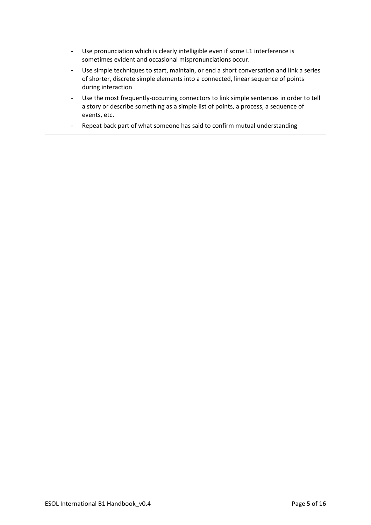- Use pronunciation which is clearly intelligible even if some L1 interference is sometimes evident and occasional mispronunciations occur.
- Use simple techniques to start, maintain, or end a short conversation and link a series of shorter, discrete simple elements into a connected, linear sequence of points during interaction
- Use the most frequently-occurring connectors to link simple sentences in order to tell a story or describe something as a simple list of points, a process, a sequence of events, etc.
- Repeat back part of what someone has said to confirm mutual understanding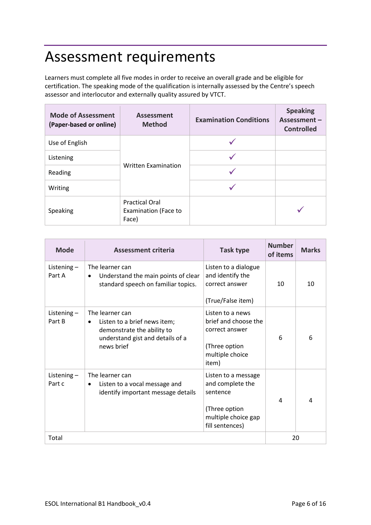### Assessment requirements

Learners must complete all five modes in order to receive an overall grade and be eligible for certification. The speaking mode of the qualification is internally assessed by the Centre's speech assessor and interlocutor and externally quality assured by VTCT.

| <b>Mode of Assessment</b><br>(Paper-based or online) | Assessment<br><b>Method</b>                                   | <b>Examination Conditions</b> | <b>Speaking</b><br>Assessment-<br><b>Controlled</b> |
|------------------------------------------------------|---------------------------------------------------------------|-------------------------------|-----------------------------------------------------|
| Use of English                                       |                                                               |                               |                                                     |
| Listening                                            |                                                               |                               |                                                     |
| Reading                                              | <b>Written Examination</b>                                    |                               |                                                     |
| Writing                                              |                                                               |                               |                                                     |
| Speaking                                             | <b>Practical Oral</b><br><b>Examination (Face to</b><br>Face) |                               |                                                     |

| <b>Mode</b>             | Assessment criteria                                                                                                                          | <b>Task type</b>                                                                                               | <b>Number</b><br>of items | <b>Marks</b> |
|-------------------------|----------------------------------------------------------------------------------------------------------------------------------------------|----------------------------------------------------------------------------------------------------------------|---------------------------|--------------|
| Listening $-$<br>Part A | The learner can<br>Understand the main points of clear<br>$\bullet$<br>standard speech on familiar topics.                                   | Listen to a dialogue<br>and identify the<br>correct answer<br>(True/False item)                                | 10                        | 10           |
| Listening $-$<br>Part B | The learner can<br>Listen to a brief news item;<br>$\bullet$<br>demonstrate the ability to<br>understand gist and details of a<br>news brief | Listen to a news<br>brief and choose the<br>correct answer<br>(Three option<br>multiple choice<br>item)        | 6                         | 6            |
| Listening $-$<br>Part c | The learner can<br>Listen to a vocal message and<br>$\bullet$<br>identify important message details                                          | Listen to a message<br>and complete the<br>sentence<br>(Three option<br>multiple choice gap<br>fill sentences) | 4                         | 4            |
| Total                   |                                                                                                                                              |                                                                                                                | 20                        |              |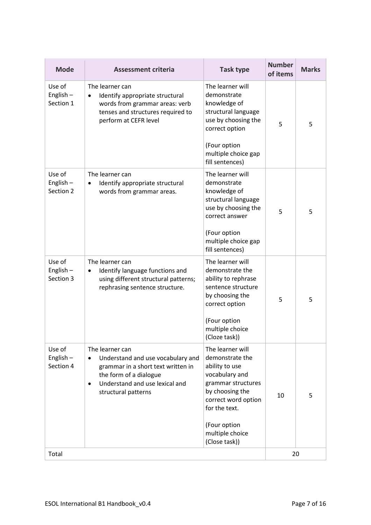| <b>Mode</b>                        | <b>Assessment criteria</b>                                                                                                                                                                 | <b>Task type</b>                                                                                                                                                                                             | <b>Number</b><br>of items | <b>Marks</b> |
|------------------------------------|--------------------------------------------------------------------------------------------------------------------------------------------------------------------------------------------|--------------------------------------------------------------------------------------------------------------------------------------------------------------------------------------------------------------|---------------------------|--------------|
| Use of<br>English-<br>Section 1    | The learner can<br>Identify appropriate structural<br>words from grammar areas: verb<br>tenses and structures required to<br>perform at CEFR level                                         | The learner will<br>demonstrate<br>knowledge of<br>structural language<br>use by choosing the<br>correct option<br>(Four option<br>multiple choice gap<br>fill sentences)                                    | 5                         | 5            |
| Use of<br>English $-$<br>Section 2 | The learner can<br>Identify appropriate structural<br>$\bullet$<br>words from grammar areas.                                                                                               | The learner will<br>demonstrate<br>knowledge of<br>structural language<br>use by choosing the<br>correct answer<br>(Four option<br>multiple choice gap<br>fill sentences)                                    | 5                         | 5            |
| Use of<br>English $-$<br>Section 3 | The learner can<br>Identify language functions and<br>$\bullet$<br>using different structural patterns;<br>rephrasing sentence structure.                                                  | The learner will<br>demonstrate the<br>ability to rephrase<br>sentence structure<br>by choosing the<br>correct option<br>(Four option<br>multiple choice<br>(Cloze task))                                    | 5                         | 5            |
| Use of<br>English $-$<br>Section 4 | The learner can<br>Understand and use vocabulary and<br>grammar in a short text written in<br>the form of a dialogue<br>Understand and use lexical and<br>$\bullet$<br>structural patterns | The learner will<br>demonstrate the<br>ability to use<br>vocabulary and<br>grammar structures<br>by choosing the<br>correct word option<br>for the text.<br>(Four option<br>multiple choice<br>(Close task)) | 10                        | 5            |
| Total                              |                                                                                                                                                                                            |                                                                                                                                                                                                              | 20                        |              |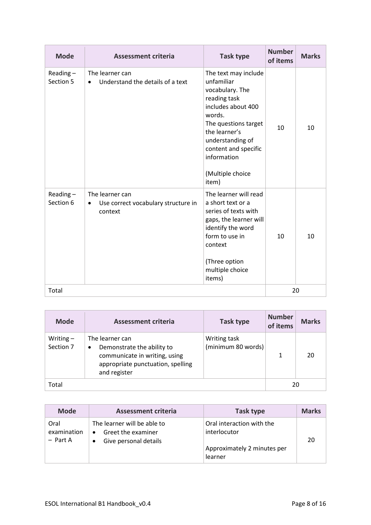| <b>Mode</b>              | <b>Assessment criteria</b>                                                     | Task type                                                                                                                                                                                                                              | <b>Number</b><br>of items | <b>Marks</b> |
|--------------------------|--------------------------------------------------------------------------------|----------------------------------------------------------------------------------------------------------------------------------------------------------------------------------------------------------------------------------------|---------------------------|--------------|
| Reading $-$<br>Section 5 | The learner can<br>Understand the details of a text<br>$\bullet$               | The text may include<br>unfamiliar<br>vocabulary. The<br>reading task<br>includes about 400<br>words.<br>The questions target<br>the learner's<br>understanding of<br>content and specific<br>information<br>(Multiple choice<br>item) | 10                        | 10           |
| Reading-<br>Section 6    | The learner can<br>Use correct vocabulary structure in<br>$\bullet$<br>context | The learner will read<br>a short text or a<br>series of texts with<br>gaps, the learner will<br>identify the word<br>form to use in<br>context<br>(Three option<br>multiple choice<br>items)                                           | 10                        | 10           |
| Total                    |                                                                                |                                                                                                                                                                                                                                        |                           | 20           |

| <b>Mode</b>              | <b>Assessment criteria</b>                                                                                                               | Task type                          | <b>Number</b><br>of items | <b>Marks</b> |
|--------------------------|------------------------------------------------------------------------------------------------------------------------------------------|------------------------------------|---------------------------|--------------|
| Writing $-$<br>Section 7 | The learner can<br>Demonstrate the ability to<br>٠<br>communicate in writing, using<br>appropriate punctuation, spelling<br>and register | Writing task<br>(minimum 80 words) |                           | 20           |
| Total                    |                                                                                                                                          | 20                                 |                           |              |

| <b>Mode</b>                       | Assessment criteria                                                                          | Task type                                                                           | <b>Marks</b> |
|-----------------------------------|----------------------------------------------------------------------------------------------|-------------------------------------------------------------------------------------|--------------|
| Oral<br>examination<br>$-$ Part A | The learner will be able to<br>Greet the examiner<br>$\bullet$<br>Give personal details<br>٠ | Oral interaction with the<br>interlocutor<br>Approximately 2 minutes per<br>learner | 20           |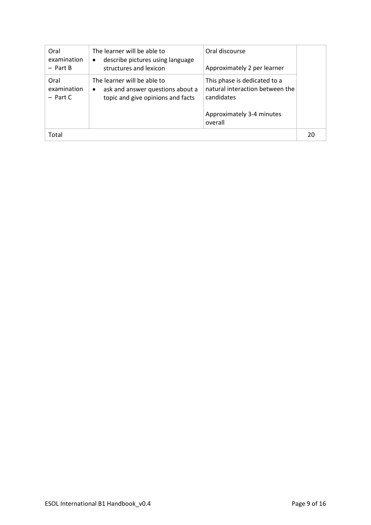| Oral<br>examination<br>$-$ Part B | The learner will be able to<br>describe pictures using language<br>$\bullet$<br>structures and lexicon            | Oral discourse<br>Approximately 2 per learner                                                                         |    |
|-----------------------------------|-------------------------------------------------------------------------------------------------------------------|-----------------------------------------------------------------------------------------------------------------------|----|
| Oral<br>examination<br>$-$ Part C | The learner will be able to<br>ask and answer questions about a<br>$\bullet$<br>topic and give opinions and facts | This phase is dedicated to a<br>natural interaction between the<br>candidates<br>Approximately 3-4 minutes<br>overall |    |
| Total                             |                                                                                                                   |                                                                                                                       | 20 |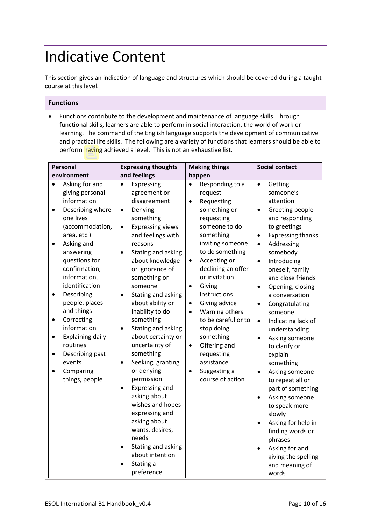## Indicative Content

This section gives an indication of language and structures which should be covered during a taught course at this level.

### **Functions**

• Functions contribute to the development and maintenance of language skills. Through functional skills, learners are able to perform in social interaction, the world of work or learning. The command of the English language supports the development of communicative and practical life skills. The following are a variety of functions that learners should be able to perform having achieved a level. This is not an exhaustive list.

| Personal                                                                                                                                                                                                                                                                                                                                                                                                                                                    | <b>Expressing thoughts</b>                                                                                                                                                                                                                                                                                                                                                                                                                                                                                                                                                                                                                                                                                | <b>Making things</b>                                                                                                                                                                                                                                                                                                                                                                                                                                                                                                | <b>Social contact</b>                                                                                                                                                                                                                                                                                                                                                                                                                                                                                                                                                                                                                                                                                  |
|-------------------------------------------------------------------------------------------------------------------------------------------------------------------------------------------------------------------------------------------------------------------------------------------------------------------------------------------------------------------------------------------------------------------------------------------------------------|-----------------------------------------------------------------------------------------------------------------------------------------------------------------------------------------------------------------------------------------------------------------------------------------------------------------------------------------------------------------------------------------------------------------------------------------------------------------------------------------------------------------------------------------------------------------------------------------------------------------------------------------------------------------------------------------------------------|---------------------------------------------------------------------------------------------------------------------------------------------------------------------------------------------------------------------------------------------------------------------------------------------------------------------------------------------------------------------------------------------------------------------------------------------------------------------------------------------------------------------|--------------------------------------------------------------------------------------------------------------------------------------------------------------------------------------------------------------------------------------------------------------------------------------------------------------------------------------------------------------------------------------------------------------------------------------------------------------------------------------------------------------------------------------------------------------------------------------------------------------------------------------------------------------------------------------------------------|
| environment<br>Asking for and<br>giving personal<br>information<br>Describing where<br>$\bullet$<br>one lives<br>(accommodation,<br>area, etc.)<br>Asking and<br>answering<br>questions for<br>confirmation,<br>information,<br>identification<br>Describing<br>people, places<br>and things<br>Correcting<br>٠<br>information<br><b>Explaining daily</b><br>$\bullet$<br>routines<br>Describing past<br>$\bullet$<br>events<br>Comparing<br>things, people | and feelings<br>Expressing<br>$\bullet$<br>agreement or<br>disagreement<br>Denying<br>$\bullet$<br>something<br><b>Expressing views</b><br>$\bullet$<br>and feelings with<br>reasons<br>Stating and asking<br>$\bullet$<br>about knowledge<br>or ignorance of<br>something or<br>someone<br>Stating and asking<br>$\bullet$<br>about ability or<br>inability to do<br>something<br>Stating and asking<br>$\bullet$<br>about certainty or<br>uncertainty of<br>something<br>Seeking, granting<br>$\bullet$<br>or denying<br>permission<br>Expressing and<br>$\bullet$<br>asking about<br>wishes and hopes<br>expressing and<br>asking about<br>wants, desires,<br>needs<br>Stating and asking<br>$\bullet$ | happen<br>Responding to a<br>$\bullet$<br>request<br>Requesting<br>$\bullet$<br>something or<br>requesting<br>someone to do<br>something<br>inviting someone<br>to do something<br>Accepting or<br>$\bullet$<br>declining an offer<br>or invitation<br>Giving<br>$\bullet$<br>instructions<br>Giving advice<br>$\bullet$<br>Warning others<br>$\bullet$<br>to be careful or to<br>stop doing<br>something<br>Offering and<br>$\bullet$<br>requesting<br>assistance<br>Suggesting a<br>$\bullet$<br>course of action | $\bullet$<br>Getting<br>someone's<br>attention<br>Greeting people<br>$\bullet$<br>and responding<br>to greetings<br><b>Expressing thanks</b><br>$\bullet$<br>Addressing<br>$\bullet$<br>somebody<br>Introducing<br>$\bullet$<br>oneself, family<br>and close friends<br>Opening, closing<br>$\bullet$<br>a conversation<br>Congratulating<br>$\bullet$<br>someone<br>Indicating lack of<br>$\bullet$<br>understanding<br>Asking someone<br>$\bullet$<br>to clarify or<br>explain<br>something<br>Asking someone<br>$\bullet$<br>to repeat all or<br>part of something<br>Asking someone<br>$\bullet$<br>to speak more<br>slowly<br>Asking for help in<br>finding words or<br>phrases<br>Asking for and |
|                                                                                                                                                                                                                                                                                                                                                                                                                                                             | about intention<br>Stating a<br>preference                                                                                                                                                                                                                                                                                                                                                                                                                                                                                                                                                                                                                                                                |                                                                                                                                                                                                                                                                                                                                                                                                                                                                                                                     | giving the spelling<br>and meaning of<br>words                                                                                                                                                                                                                                                                                                                                                                                                                                                                                                                                                                                                                                                         |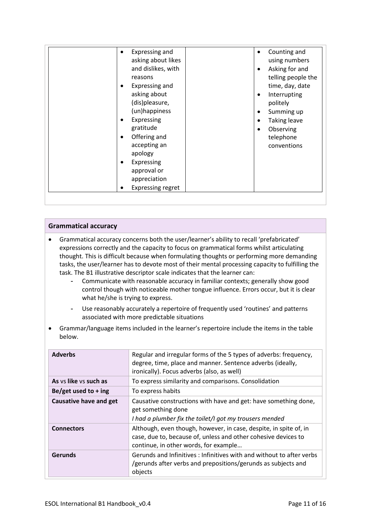| appreciation<br><b>Expressing regret</b> |
|------------------------------------------|
|------------------------------------------|

### **Grammatical accuracy**

- Grammatical accuracy concerns both the user/learner's ability to recall 'prefabricated' expressions correctly and the capacity to focus on grammatical forms whilst articulating thought. This is difficult because when formulating thoughts or performing more demanding tasks, the user/learner has to devote most of their mental processing capacity to fulfilling the task. The B1 illustrative descriptor scale indicates that the learner can:
	- Communicate with reasonable accuracy in familiar contexts; generally show good control though with noticeable mother tongue influence. Errors occur, but it is clear what he/she is trying to express.
	- Use reasonably accurately a repertoire of frequently used 'routines' and patterns associated with more predictable situations
- Grammar/language items included in the learner's repertoire include the items in the table below.

| <b>Adverbs</b>                | Regular and irregular forms of the 5 types of adverbs: frequency,<br>degree, time, place and manner. Sentence adverbs (ideally,<br>ironically). Focus adverbs (also, as well) |
|-------------------------------|-------------------------------------------------------------------------------------------------------------------------------------------------------------------------------|
| As ys like ys such as         | To express similarity and comparisons. Consolidation                                                                                                                          |
| Be/get used to $+$ ing        | To express habits                                                                                                                                                             |
| <b>Causative have and get</b> | Causative constructions with have and get: have something done,<br>get something done<br>I had a plumber fix the toilet/I got my trousers mended                              |
| <b>Connectors</b>             | Although, even though, however, in case, despite, in spite of, in<br>case, due to, because of, unless and other cohesive devices to<br>continue, in other words, for example  |
| <b>Gerunds</b>                | Gerunds and Infinitives : Infinitives with and without to after verbs<br>/gerunds after verbs and prepositions/gerunds as subjects and<br>objects                             |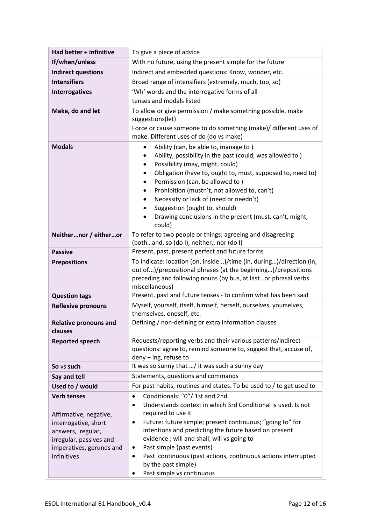| Had better + infinitive                      | To give a piece of advice                                                                                                                                                                                                                                                                                                                                                                                                                                                |  |
|----------------------------------------------|--------------------------------------------------------------------------------------------------------------------------------------------------------------------------------------------------------------------------------------------------------------------------------------------------------------------------------------------------------------------------------------------------------------------------------------------------------------------------|--|
| If/when/unless                               | With no future, using the present simple for the future                                                                                                                                                                                                                                                                                                                                                                                                                  |  |
| <b>Indirect questions</b>                    | Indirect and embedded questions: Know, wonder, etc.                                                                                                                                                                                                                                                                                                                                                                                                                      |  |
| <b>Intensifiers</b>                          | Broad range of intensifiers (extremely, much, too, so)                                                                                                                                                                                                                                                                                                                                                                                                                   |  |
| <b>Interrogatives</b>                        | 'Wh' words and the interrogative forms of all                                                                                                                                                                                                                                                                                                                                                                                                                            |  |
|                                              | tenses and modals listed                                                                                                                                                                                                                                                                                                                                                                                                                                                 |  |
| Make, do and let                             | To allow or give permission / make something possible, make<br>suggestions(let)<br>Force or cause someone to do something (make)/ different uses of<br>make. Different uses of do (do vs make)                                                                                                                                                                                                                                                                           |  |
| <b>Modals</b>                                | Ability (can, be able to, manage to)<br>$\bullet$<br>Ability, possibility in the past (could, was allowed to)<br>Possibility (may, might, could)<br>$\bullet$<br>Obligation (have to, ought to, must, supposed to, need to)<br>٠<br>Permission (can, be allowed to)<br>٠<br>Prohibition (mustn't, not allowed to, can't)<br>Necessity or lack of (need or needn't)<br>Suggestion (ought to, should)<br>Drawing conclusions in the present (must, can't, might,<br>could) |  |
| Neithernor / eitheror                        | To refer to two people or things; agreeing and disagreeing<br>(bothand, so (do I), neither,, nor (do I)                                                                                                                                                                                                                                                                                                                                                                  |  |
| <b>Passive</b>                               | Present, past, present perfect and future forms                                                                                                                                                                                                                                                                                                                                                                                                                          |  |
| <b>Prepositions</b>                          | To indicate: location (on, inside)/time (in, during)/direction (in,<br>out of)/prepositional phrases (at the beginning)/prepositions<br>preceding and following nouns (by bus, at lastor phrasal verbs<br>miscellaneous)                                                                                                                                                                                                                                                 |  |
| <b>Question tags</b>                         | Present, past and future tenses - to confirm what has been said                                                                                                                                                                                                                                                                                                                                                                                                          |  |
| <b>Reflexive pronouns</b>                    | Myself, yourself, itself, himself, herself, ourselves, yourselves,<br>themselves, oneself, etc.                                                                                                                                                                                                                                                                                                                                                                          |  |
| <b>Relative pronouns and</b><br>clauses      | Defining / non-defining or extra information clauses                                                                                                                                                                                                                                                                                                                                                                                                                     |  |
| <b>Reported speech</b>                       | Requests/reporting verbs and their various patterns/indirect<br>questions: agree to, remind someone to, suggest that, accuse of,<br>deny + ing, refuse to                                                                                                                                                                                                                                                                                                                |  |
| So vs such                                   | It was so sunny that / it was such a sunny day                                                                                                                                                                                                                                                                                                                                                                                                                           |  |
| Say and tell                                 | Statements, questions and commands                                                                                                                                                                                                                                                                                                                                                                                                                                       |  |
| Used to / would                              | For past habits, routines and states. To be used to / to get used to                                                                                                                                                                                                                                                                                                                                                                                                     |  |
| <b>Verb tenses</b><br>Affirmative, negative, | Conditionals: "0"/ 1st and 2nd<br>$\bullet$<br>Understands context in which 3rd Conditional is used. Is not<br>$\bullet$<br>required to use it                                                                                                                                                                                                                                                                                                                           |  |
| interrogative, short                         | Future: future simple; present continuous; "going to" for<br>٠                                                                                                                                                                                                                                                                                                                                                                                                           |  |
| answers, regular,                            | intentions and predicting the future based on present                                                                                                                                                                                                                                                                                                                                                                                                                    |  |
| irregular, passives and                      | evidence; will and shall, will vs going to                                                                                                                                                                                                                                                                                                                                                                                                                               |  |
| imperatives, gerunds and                     | Past simple (past events)<br>$\bullet$                                                                                                                                                                                                                                                                                                                                                                                                                                   |  |
| infinitives                                  | Past continuous (past actions, continuous actions interrupted<br>$\bullet$<br>by the past simple)                                                                                                                                                                                                                                                                                                                                                                        |  |
|                                              | Past simple vs continuous                                                                                                                                                                                                                                                                                                                                                                                                                                                |  |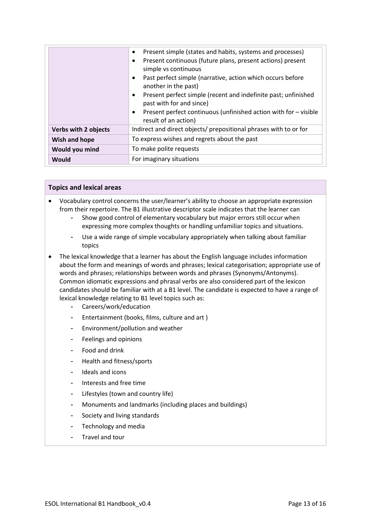|                             | Present simple (states and habits, systems and processes)<br>$\bullet$<br>Present continuous (future plans, present actions) present<br>$\bullet$<br>simple vs continuous<br>Past perfect simple (narrative, action which occurs before<br>$\bullet$<br>another in the past)<br>Present perfect simple (recent and indefinite past; unfinished<br>$\bullet$<br>past with for and since)<br>Present perfect continuous (unfinished action with for - visible<br>$\bullet$<br>result of an action) |  |
|-----------------------------|--------------------------------------------------------------------------------------------------------------------------------------------------------------------------------------------------------------------------------------------------------------------------------------------------------------------------------------------------------------------------------------------------------------------------------------------------------------------------------------------------|--|
| <b>Verbs with 2 objects</b> | Indirect and direct objects/ prepositional phrases with to or for                                                                                                                                                                                                                                                                                                                                                                                                                                |  |
| Wish and hope               | To express wishes and regrets about the past                                                                                                                                                                                                                                                                                                                                                                                                                                                     |  |
| Would you mind              | To make polite requests                                                                                                                                                                                                                                                                                                                                                                                                                                                                          |  |
| Would                       | For imaginary situations                                                                                                                                                                                                                                                                                                                                                                                                                                                                         |  |

### **Topics and lexical areas**

- Vocabulary control concerns the user/learner's ability to choose an appropriate expression from their repertoire. The B1 illustrative descriptor scale indicates that the learner can
	- Show good control of elementary vocabulary but major errors still occur when expressing more complex thoughts or handling unfamiliar topics and situations.
	- Use a wide range of simple vocabulary appropriately when talking about familiar topics
- The lexical knowledge that a learner has about the English language includes information about the form and meanings of words and phrases; lexical categorisation; appropriate use of words and phrases; relationships between words and phrases (Synonyms/Antonyms). Common idiomatic expressions and phrasal verbs are also considered part of the lexicon candidates should be familiar with at a B1 level. The candidate is expected to have a range of lexical knowledge relating to B1 level topics such as:
	- Careers/work/education
	- Entertainment (books, films, culture and art )
	- Environment/pollution and weather
	- Feelings and opinions
	- Food and drink
	- Health and fitness/sports
	- Ideals and icons
	- Interests and free time
	- Lifestyles (town and country life)
	- Monuments and landmarks (including places and buildings)
	- Society and living standards
	- Technology and media
	- Travel and tour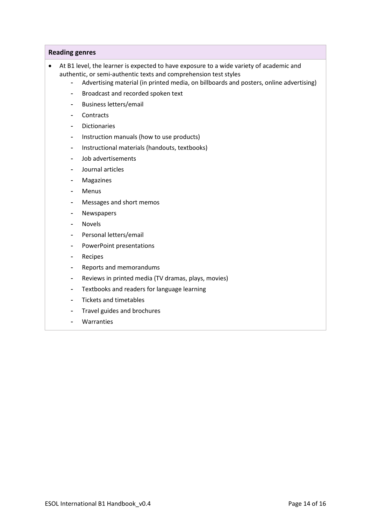#### **Reading genres**

- At B1 level, the learner is expected to have exposure to a wide variety of academic and authentic, or semi-authentic texts and comprehension test styles
	- Advertising material (in printed media, on billboards and posters, online advertising)
	- Broadcast and recorded spoken text
	- Business letters/email
	- Contracts
	- Dictionaries
	- Instruction manuals (how to use products)
	- Instructional materials (handouts, textbooks)
	- Job advertisements
	- Journal articles
	- Magazines
	- Menus
	- Messages and short memos
	- Newspapers
	- **Novels**
	- Personal letters/email
	- PowerPoint presentations
	- Recipes
	- Reports and memorandums
	- Reviews in printed media (TV dramas, plays, movies)
	- Textbooks and readers for language learning
	- Tickets and timetables
	- Travel guides and brochures
	- **Warranties**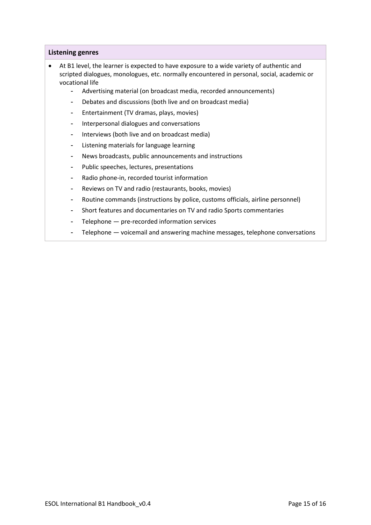### **Listening genres**

- At B1 level, the learner is expected to have exposure to a wide variety of authentic and scripted dialogues, monologues, etc. normally encountered in personal, social, academic or vocational life
	- Advertising material (on broadcast media, recorded announcements)
	- Debates and discussions (both live and on broadcast media)
	- Entertainment (TV dramas, plays, movies)
	- Interpersonal dialogues and conversations
	- Interviews (both live and on broadcast media)
	- Listening materials for language learning
	- News broadcasts, public announcements and instructions
	- Public speeches, lectures, presentations
	- Radio phone-in, recorded tourist information
	- Reviews on TV and radio (restaurants, books, movies)
	- Routine commands (instructions by police, customs officials, airline personnel)
	- Short features and documentaries on TV and radio Sports commentaries
	- Telephone pre-recorded information services
	- Telephone voicemail and answering machine messages, telephone conversations